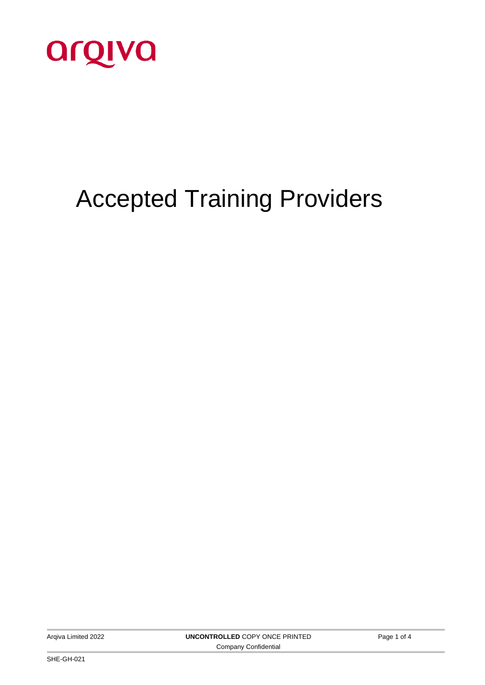

# Accepted Training Providers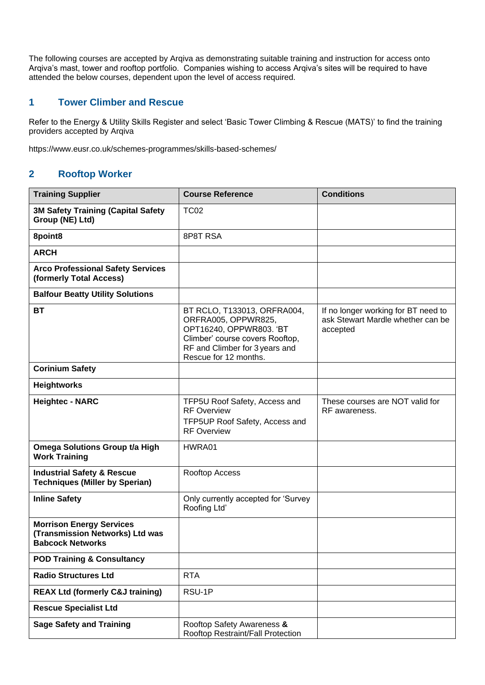The following courses are accepted by Arqiva as demonstrating suitable training and instruction for access onto Arqiva's mast, tower and rooftop portfolio. Companies wishing to access Arqiva's sites will be required to have attended the below courses, dependent upon the level of access required.

#### **1 Tower Climber and Rescue**

Refer to the Energy & Utility Skills Register and select 'Basic Tower Climbing & Rescue (MATS)' to find the training providers accepted by Arqiva

htt[ps://www.eusr.co.uk/schemes-programmes/skills-based-schemes/](http://www.eusr.co.uk/schemes-programmes/skills-based-schemes/)

### **2 Rooftop Worker**

| <b>Training Supplier</b>                                                                      | <b>Course Reference</b>                                                                                                                                                     | <b>Conditions</b>                                                                    |
|-----------------------------------------------------------------------------------------------|-----------------------------------------------------------------------------------------------------------------------------------------------------------------------------|--------------------------------------------------------------------------------------|
| <b>3M Safety Training (Capital Safety</b><br>Group (NE) Ltd)                                  | <b>TC02</b>                                                                                                                                                                 |                                                                                      |
| 8point8                                                                                       | 8P8T RSA                                                                                                                                                                    |                                                                                      |
| <b>ARCH</b>                                                                                   |                                                                                                                                                                             |                                                                                      |
| <b>Arco Professional Safety Services</b><br>(formerly Total Access)                           |                                                                                                                                                                             |                                                                                      |
| <b>Balfour Beatty Utility Solutions</b>                                                       |                                                                                                                                                                             |                                                                                      |
| <b>BT</b>                                                                                     | BT RCLO, T133013, ORFRA004,<br>ORFRA005, OPPWR825,<br>OPT16240, OPPWR803. 'BT<br>Climber' course covers Rooftop,<br>RF and Climber for 3 years and<br>Rescue for 12 months. | If no longer working for BT need to<br>ask Stewart Mardle whether can be<br>accepted |
| <b>Corinium Safety</b>                                                                        |                                                                                                                                                                             |                                                                                      |
| <b>Heightworks</b>                                                                            |                                                                                                                                                                             |                                                                                      |
| <b>Heightec - NARC</b>                                                                        | TFP5U Roof Safety, Access and<br><b>RF Overview</b><br>TFP5UP Roof Safety, Access and<br><b>RF Overview</b>                                                                 | These courses are NOT valid for<br>RF awareness.                                     |
| Omega Solutions Group t/a High<br><b>Work Training</b>                                        | HWRA01                                                                                                                                                                      |                                                                                      |
| <b>Industrial Safety &amp; Rescue</b><br><b>Techniques (Miller by Sperian)</b>                | Rooftop Access                                                                                                                                                              |                                                                                      |
| <b>Inline Safety</b>                                                                          | Only currently accepted for 'Survey<br>Roofing Ltd'                                                                                                                         |                                                                                      |
| <b>Morrison Energy Services</b><br>(Transmission Networks) Ltd was<br><b>Babcock Networks</b> |                                                                                                                                                                             |                                                                                      |
| <b>POD Training &amp; Consultancy</b>                                                         |                                                                                                                                                                             |                                                                                      |
| <b>Radio Structures Ltd</b>                                                                   | <b>RTA</b>                                                                                                                                                                  |                                                                                      |
| <b>REAX Ltd (formerly C&amp;J training)</b>                                                   | RSU-1P                                                                                                                                                                      |                                                                                      |
| <b>Rescue Specialist Ltd</b>                                                                  |                                                                                                                                                                             |                                                                                      |
| <b>Sage Safety and Training</b>                                                               | Rooftop Safety Awareness &<br>Rooftop Restraint/Fall Protection                                                                                                             |                                                                                      |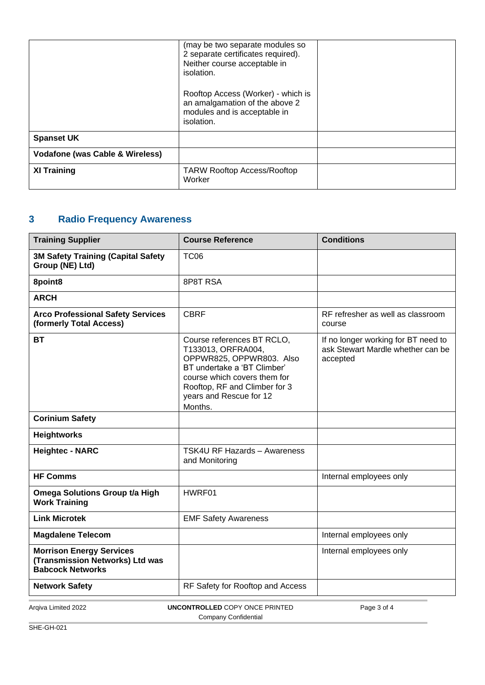|                                            | (may be two separate modules so<br>2 separate certificates required).<br>Neither course acceptable in<br>isolation. |  |
|--------------------------------------------|---------------------------------------------------------------------------------------------------------------------|--|
|                                            | Rooftop Access (Worker) - which is<br>an amalgamation of the above 2<br>modules and is acceptable in<br>isolation.  |  |
| <b>Spanset UK</b>                          |                                                                                                                     |  |
| <b>Vodafone (was Cable &amp; Wireless)</b> |                                                                                                                     |  |
| <b>XI Training</b>                         | <b>TARW Rooftop Access/Rooftop</b><br>Worker                                                                        |  |

## **3 Radio Frequency Awareness**

| <b>Training Supplier</b>                                                                      | <b>Course Reference</b>                                                                                                                                                                                            | <b>Conditions</b>                                                                    |
|-----------------------------------------------------------------------------------------------|--------------------------------------------------------------------------------------------------------------------------------------------------------------------------------------------------------------------|--------------------------------------------------------------------------------------|
| <b>3M Safety Training (Capital Safety</b><br>Group (NE) Ltd)                                  | <b>TC06</b>                                                                                                                                                                                                        |                                                                                      |
| 8point8                                                                                       | 8P8T RSA                                                                                                                                                                                                           |                                                                                      |
| <b>ARCH</b>                                                                                   |                                                                                                                                                                                                                    |                                                                                      |
| <b>Arco Professional Safety Services</b><br>(formerly Total Access)                           | <b>CBRF</b>                                                                                                                                                                                                        | RF refresher as well as classroom<br>course                                          |
| <b>BT</b>                                                                                     | Course references BT RCLO,<br>T133013, ORFRA004,<br>OPPWR825, OPPWR803. Also<br>BT undertake a 'BT Climber'<br>course which covers them for<br>Rooftop, RF and Climber for 3<br>years and Rescue for 12<br>Months. | If no longer working for BT need to<br>ask Stewart Mardle whether can be<br>accepted |
| <b>Corinium Safety</b>                                                                        |                                                                                                                                                                                                                    |                                                                                      |
| <b>Heightworks</b>                                                                            |                                                                                                                                                                                                                    |                                                                                      |
| <b>Heightec - NARC</b>                                                                        | <b>TSK4U RF Hazards - Awareness</b><br>and Monitoring                                                                                                                                                              |                                                                                      |
| <b>HF Comms</b>                                                                               |                                                                                                                                                                                                                    | Internal employees only                                                              |
| <b>Omega Solutions Group t/a High</b><br><b>Work Training</b>                                 | HWRF01                                                                                                                                                                                                             |                                                                                      |
| <b>Link Microtek</b>                                                                          | <b>EMF Safety Awareness</b>                                                                                                                                                                                        |                                                                                      |
| <b>Magdalene Telecom</b>                                                                      |                                                                                                                                                                                                                    | Internal employees only                                                              |
| <b>Morrison Energy Services</b><br>(Transmission Networks) Ltd was<br><b>Babcock Networks</b> |                                                                                                                                                                                                                    | Internal employees only                                                              |
| <b>Network Safety</b>                                                                         | RF Safety for Rooftop and Access                                                                                                                                                                                   |                                                                                      |
| Argiva Limited 2022                                                                           | <b>UNCONTROLLED COPY ONCE PRINTED</b>                                                                                                                                                                              | Page 3 of 4                                                                          |

Company Confidential